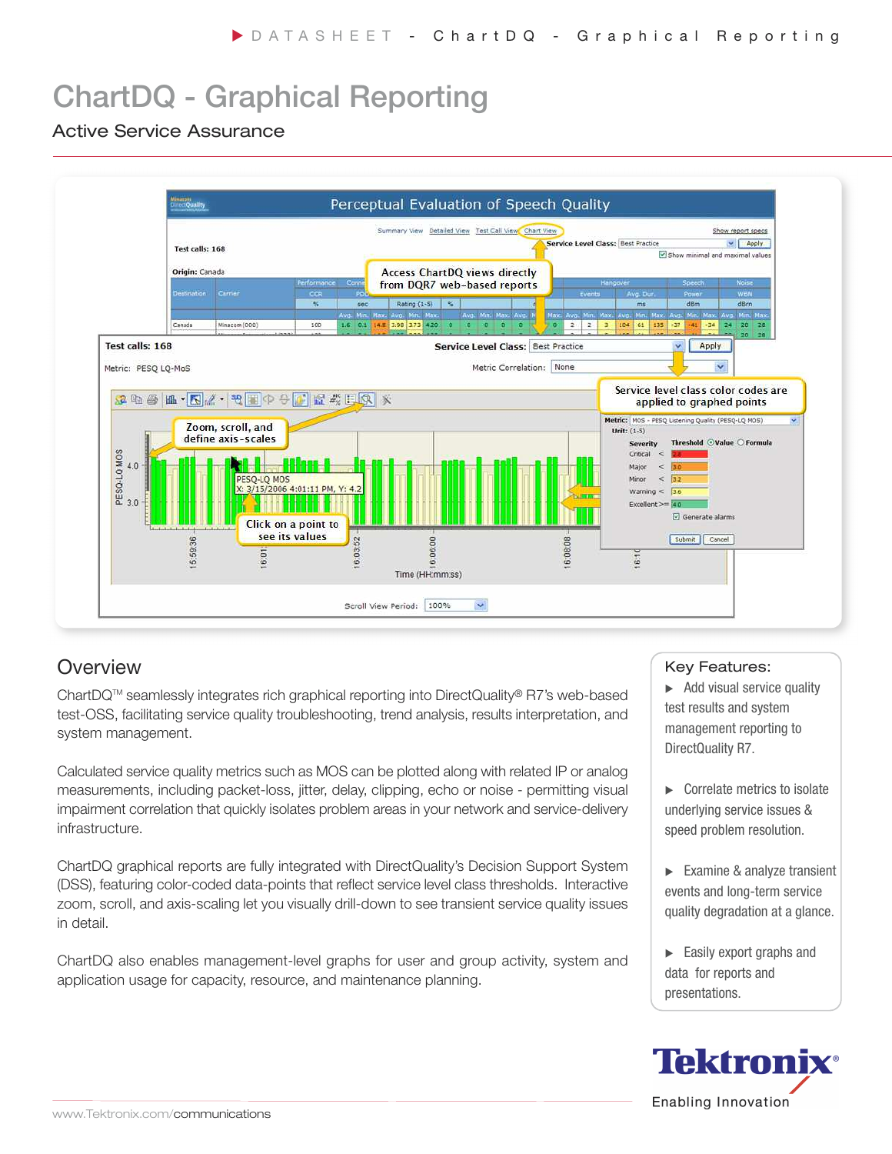# ChartDQ - Graphical Reporting

### Active Service Assurance



### **Overview**

ChartDQTM seamlessly integrates rich graphical reporting into DirectQuality® R7's web-based test-OSS, facilitating service quality troubleshooting, trend analysis, results interpretation, and system management.

Calculated service quality metrics such as MOS can be plotted along with related IP or analog measurements, including packet-loss, jitter, delay, clipping, echo or noise - permitting visual impairment correlation that quickly isolates problem areas in your network and service-delivery infrastructure.

ChartDQ graphical reports are fully integrated with DirectQuality's Decision Support System (DSS), featuring color-coded data-points that reflect service level class thresholds. Interactive zoom, scroll, and axis-scaling let you visually drill-down to see transient service quality issues in detail.

ChartDQ also enables management-level graphs for user and group activity, system and application usage for capacity, resource, and maintenance planning.

#### Key Features:

▶ Add visual service quality test results and system management reporting to DirectQuality R7.

- **EX Correlate metrics to isolate** underlying service issues & speed problem resolution.
- Examine & analyze transient events and long-term service quality degradation at a glance.
- Easily export graphs and data for reports and presentations.